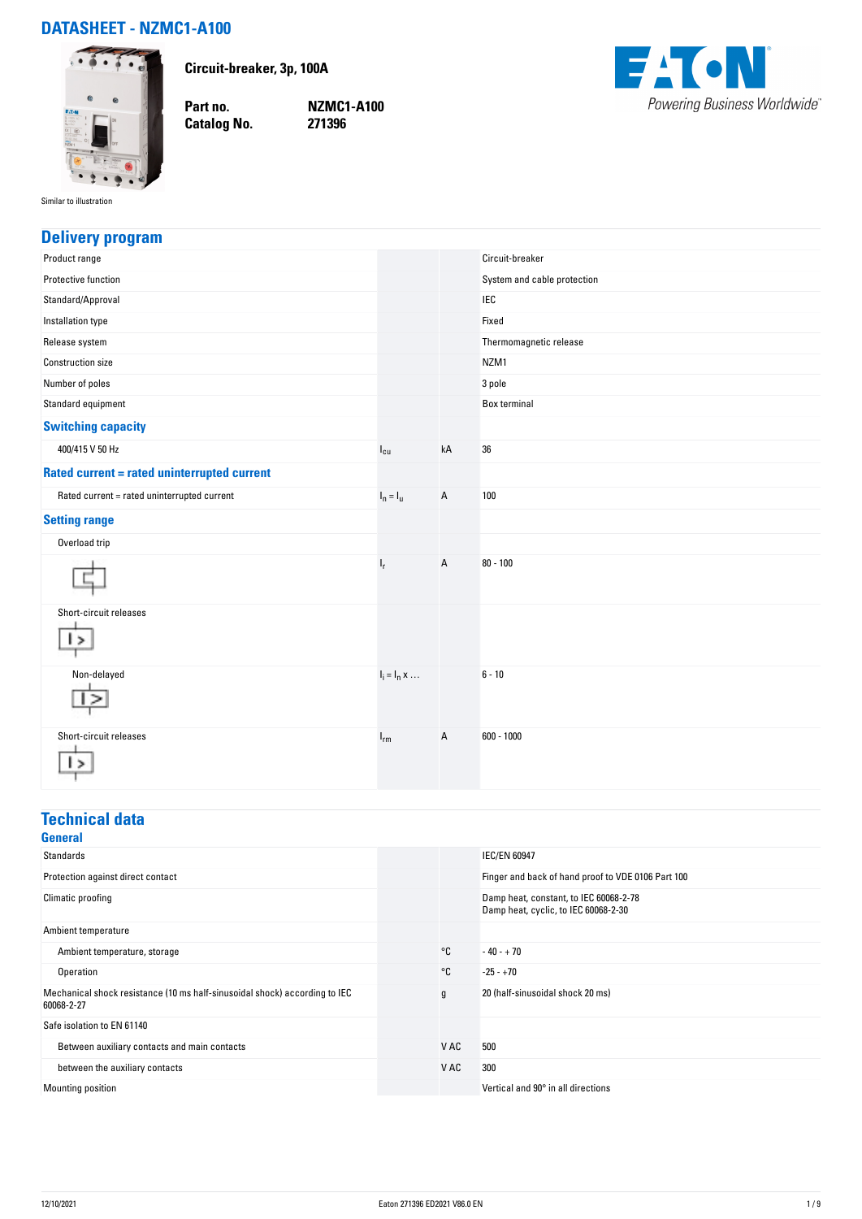## **DATASHEET - NZMC1-A100**



**Circuit-breaker, 3p, 100A**

**Catalog No.** 

**Part no. NZMC1-A100**



Similar to illustration

### **Delivery program**

| Product range                                      |                     |    | Circuit-breaker             |
|----------------------------------------------------|---------------------|----|-----------------------------|
| Protective function                                |                     |    | System and cable protection |
| Standard/Approval                                  |                     |    | <b>IEC</b>                  |
| Installation type                                  |                     |    | Fixed                       |
| Release system                                     |                     |    | Thermomagnetic release      |
| <b>Construction size</b>                           |                     |    | NZM1                        |
| Number of poles                                    |                     |    | 3 pole                      |
| Standard equipment                                 |                     |    | Box terminal                |
| <b>Switching capacity</b>                          |                     |    |                             |
| 400/415 V 50 Hz                                    | $I_{cu}$            | kA | 36                          |
| <b>Rated current = rated uninterrupted current</b> |                     |    |                             |
| Rated current = rated uninterrupted current        | $I_n = I_u$         | А  | 100                         |
| <b>Setting range</b>                               |                     |    |                             |
| Overload trip                                      |                     |    |                             |
|                                                    | $I_r$               | A  | $80 - 100$                  |
| Short-circuit releases<br>$\rightarrow$            |                     |    |                             |
| Non-delayed                                        | $I_i = I_n \times $ |    | $6 - 10$                    |
| Short-circuit releases                             | $I_{rm}$            | A  | $600 - 1000$                |

#### **Technical data General**

| uenerar                                                                                  |      |                                                                                |
|------------------------------------------------------------------------------------------|------|--------------------------------------------------------------------------------|
| Standards                                                                                |      | <b>IEC/EN 60947</b>                                                            |
| Protection against direct contact                                                        |      | Finger and back of hand proof to VDE 0106 Part 100                             |
| Climatic proofing                                                                        |      | Damp heat, constant, to IEC 60068-2-78<br>Damp heat, cyclic, to IEC 60068-2-30 |
| Ambient temperature                                                                      |      |                                                                                |
| Ambient temperature, storage                                                             | °C   | $-40 - +70$                                                                    |
| Operation                                                                                | °C   | $-25 - +70$                                                                    |
| Mechanical shock resistance (10 ms half-sinusoidal shock) according to IEC<br>60068-2-27 | g    | 20 (half-sinusoidal shock 20 ms)                                               |
| Safe isolation to EN 61140                                                               |      |                                                                                |
| Between auxiliary contacts and main contacts                                             | V AC | 500                                                                            |
| between the auxiliary contacts                                                           | V AC | 300                                                                            |
| Mounting position                                                                        |      | Vertical and 90° in all directions                                             |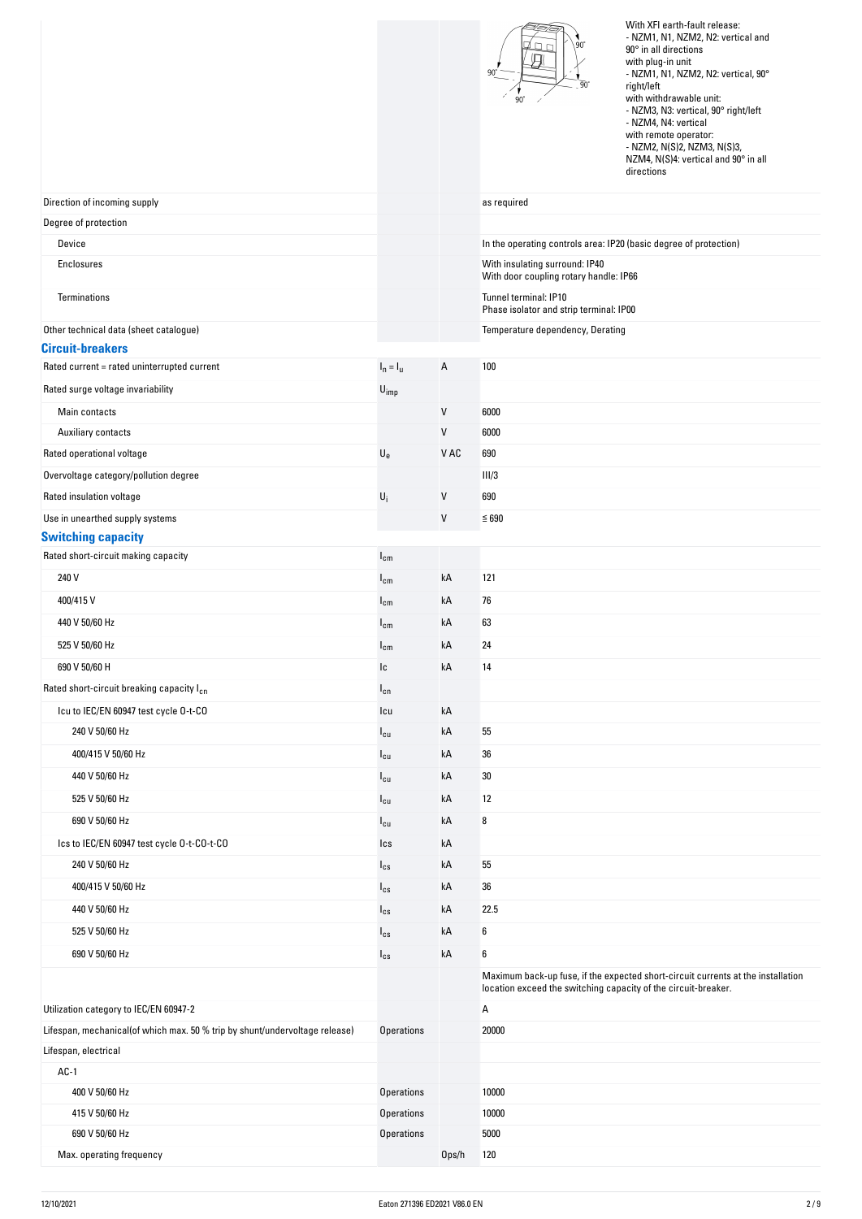|                                                                             |                           |          | $.90^\circ$<br>Dг                                                        | With XFI earth-fault release:<br>- NZM1, N1, NZM2, N2: vertical and<br>90° in all directions<br>with plug-in unit<br>- NZM1, N1, NZM2, N2: vertical, 90°<br>right/left<br>with withdrawable unit:<br>- NZM3, N3: vertical, 90° right/left<br>- NZM4, N4: vertical<br>with remote operator:<br>- NZM2, N(S)2, NZM3, N(S)3,<br>NZM4, N(S)4: vertical and 90° in all<br>directions |
|-----------------------------------------------------------------------------|---------------------------|----------|--------------------------------------------------------------------------|---------------------------------------------------------------------------------------------------------------------------------------------------------------------------------------------------------------------------------------------------------------------------------------------------------------------------------------------------------------------------------|
| Direction of incoming supply                                                |                           |          | as required                                                              |                                                                                                                                                                                                                                                                                                                                                                                 |
| Degree of protection                                                        |                           |          |                                                                          |                                                                                                                                                                                                                                                                                                                                                                                 |
| Device                                                                      |                           |          | In the operating controls area: IP20 (basic degree of protection)        |                                                                                                                                                                                                                                                                                                                                                                                 |
| Enclosures                                                                  |                           |          | With insulating surround: IP40<br>With door coupling rotary handle: IP66 |                                                                                                                                                                                                                                                                                                                                                                                 |
| Terminations                                                                |                           |          | Tunnel terminal: IP10<br>Phase isolator and strip terminal: IP00         |                                                                                                                                                                                                                                                                                                                                                                                 |
| Other technical data (sheet catalogue)                                      |                           |          | Temperature dependency, Derating                                         |                                                                                                                                                                                                                                                                                                                                                                                 |
| <b>Circuit-breakers</b>                                                     |                           |          |                                                                          |                                                                                                                                                                                                                                                                                                                                                                                 |
| Rated current = rated uninterrupted current                                 | $I_n = I_u$               | А        | 100                                                                      |                                                                                                                                                                                                                                                                                                                                                                                 |
| Rated surge voltage invariability                                           | $U_{imp}$                 |          |                                                                          |                                                                                                                                                                                                                                                                                                                                                                                 |
| Main contacts                                                               |                           | V        | 6000                                                                     |                                                                                                                                                                                                                                                                                                                                                                                 |
| <b>Auxiliary contacts</b>                                                   |                           | V        | 6000                                                                     |                                                                                                                                                                                                                                                                                                                                                                                 |
| Rated operational voltage                                                   | $\mathsf{U}_{\mathrm{e}}$ | V AC     | 690                                                                      |                                                                                                                                                                                                                                                                                                                                                                                 |
| Overvoltage category/pollution degree                                       |                           |          | III/3                                                                    |                                                                                                                                                                                                                                                                                                                                                                                 |
| Rated insulation voltage                                                    | $U_i$                     | V        | 690                                                                      |                                                                                                                                                                                                                                                                                                                                                                                 |
| Use in unearthed supply systems                                             |                           | V        | $≤ 690$                                                                  |                                                                                                                                                                                                                                                                                                                                                                                 |
| <b>Switching capacity</b><br>Rated short-circuit making capacity            | $I_{cm}$                  |          |                                                                          |                                                                                                                                                                                                                                                                                                                                                                                 |
| 240 V                                                                       | $I_{cm}$                  | kA       | 121                                                                      |                                                                                                                                                                                                                                                                                                                                                                                 |
| 400/415 V                                                                   |                           | kA       | 76                                                                       |                                                                                                                                                                                                                                                                                                                                                                                 |
| 440 V 50/60 Hz                                                              | $I_{cm}$                  | kA       | 63                                                                       |                                                                                                                                                                                                                                                                                                                                                                                 |
| 525 V 50/60 Hz                                                              | $I_{cm}$                  |          | 24                                                                       |                                                                                                                                                                                                                                                                                                                                                                                 |
|                                                                             | $I_{cm}$                  | kA       |                                                                          |                                                                                                                                                                                                                                                                                                                                                                                 |
| 690 V 50/60 H<br>Rated short-circuit breaking capacity I <sub>cn</sub>      | Ic                        | kA       | 14                                                                       |                                                                                                                                                                                                                                                                                                                                                                                 |
|                                                                             | $I_{cn}$                  |          |                                                                          |                                                                                                                                                                                                                                                                                                                                                                                 |
| Icu to IEC/EN 60947 test cycle 0-t-CO<br>240 V 50/60 Hz                     | Icu                       | kA<br>kA | 55                                                                       |                                                                                                                                                                                                                                                                                                                                                                                 |
|                                                                             | $I_{cu}$                  |          |                                                                          |                                                                                                                                                                                                                                                                                                                                                                                 |
| 400/415 V 50/60 Hz                                                          | $I_{cu}$                  | kA       | 36                                                                       |                                                                                                                                                                                                                                                                                                                                                                                 |
| 440 V 50/60 Hz                                                              | $I_{cu}$                  | kA       | 30                                                                       |                                                                                                                                                                                                                                                                                                                                                                                 |
| 525 V 50/60 Hz                                                              | $I_{cu}$                  | kA       | 12                                                                       |                                                                                                                                                                                                                                                                                                                                                                                 |
| 690 V 50/60 Hz                                                              | $I_{cu}$                  | kA       | 8                                                                        |                                                                                                                                                                                                                                                                                                                                                                                 |
| Ics to IEC/EN 60947 test cycle 0-t-C0-t-C0                                  | Ics                       | kA       |                                                                          |                                                                                                                                                                                                                                                                                                                                                                                 |
| 240 V 50/60 Hz                                                              | $I_{cs}$                  | kA       | 55                                                                       |                                                                                                                                                                                                                                                                                                                                                                                 |
| 400/415 V 50/60 Hz                                                          | $I_{cs}$                  | kA       | 36                                                                       |                                                                                                                                                                                                                                                                                                                                                                                 |
| 440 V 50/60 Hz                                                              | $I_{cs}$                  | kA       | 22.5                                                                     |                                                                                                                                                                                                                                                                                                                                                                                 |
| 525 V 50/60 Hz                                                              | $I_{cs}$                  | kA       | 6                                                                        |                                                                                                                                                                                                                                                                                                                                                                                 |
| 690 V 50/60 Hz                                                              | $I_{cs}$                  | kA       | 6                                                                        |                                                                                                                                                                                                                                                                                                                                                                                 |
|                                                                             |                           |          | location exceed the switching capacity of the circuit-breaker.           | Maximum back-up fuse, if the expected short-circuit currents at the installation                                                                                                                                                                                                                                                                                                |
| Utilization category to IEC/EN 60947-2                                      |                           |          | А                                                                        |                                                                                                                                                                                                                                                                                                                                                                                 |
| Lifespan, mechanical(of which max. 50 % trip by shunt/undervoltage release) | <b>Operations</b>         |          | 20000                                                                    |                                                                                                                                                                                                                                                                                                                                                                                 |
| Lifespan, electrical                                                        |                           |          |                                                                          |                                                                                                                                                                                                                                                                                                                                                                                 |
| $AC-1$                                                                      |                           |          |                                                                          |                                                                                                                                                                                                                                                                                                                                                                                 |
| 400 V 50/60 Hz                                                              | <b>Operations</b>         |          | 10000                                                                    |                                                                                                                                                                                                                                                                                                                                                                                 |
| 415 V 50/60 Hz                                                              | <b>Operations</b>         |          | 10000                                                                    |                                                                                                                                                                                                                                                                                                                                                                                 |
| 690 V 50/60 Hz                                                              | <b>Operations</b>         |          | 5000                                                                     |                                                                                                                                                                                                                                                                                                                                                                                 |
| Max. operating frequency                                                    |                           | Ops/h    | 120                                                                      |                                                                                                                                                                                                                                                                                                                                                                                 |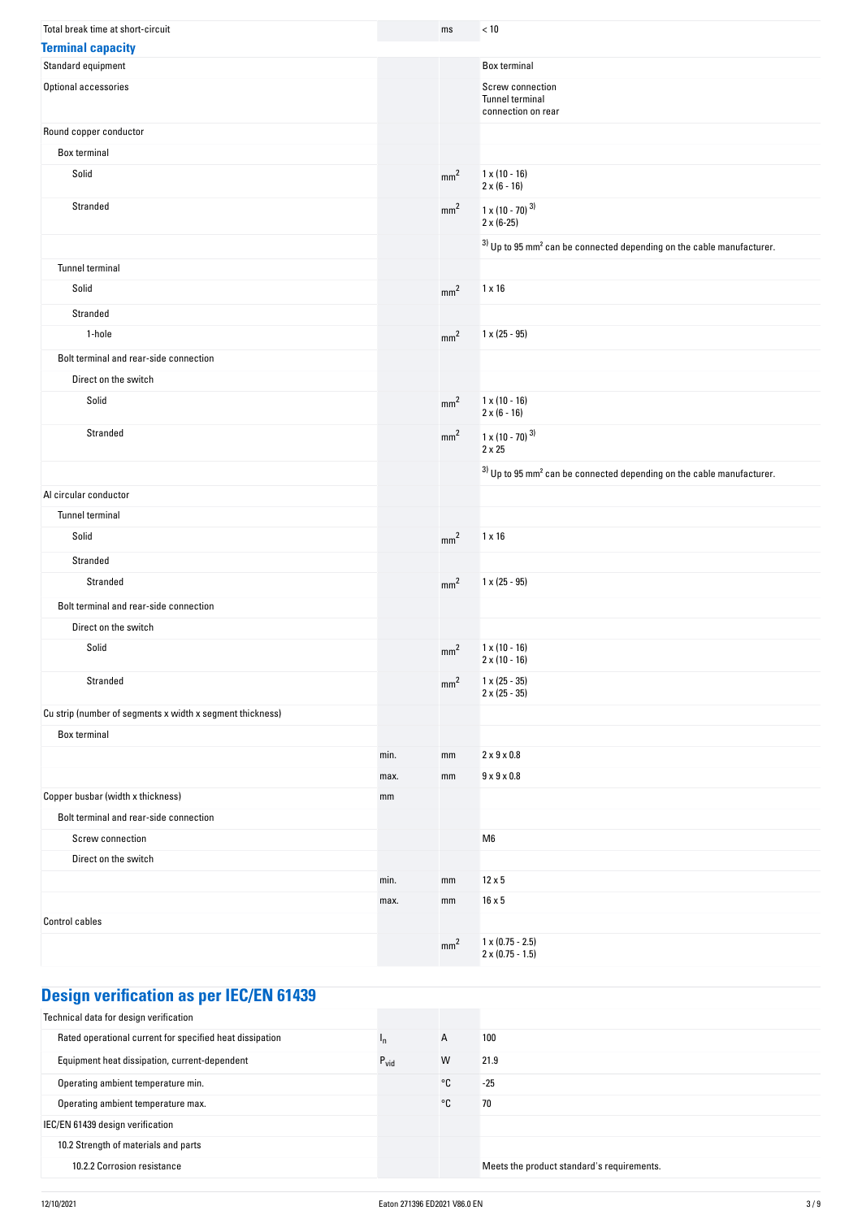| Total break time at short-circuit                         |      | ms              | < 10                                                                                |
|-----------------------------------------------------------|------|-----------------|-------------------------------------------------------------------------------------|
| <b>Terminal capacity</b>                                  |      |                 |                                                                                     |
| Standard equipment                                        |      |                 | Box terminal                                                                        |
| Optional accessories                                      |      |                 | Screw connection<br>Tunnel terminal<br>connection on rear                           |
| Round copper conductor                                    |      |                 |                                                                                     |
| Box terminal                                              |      |                 |                                                                                     |
| Solid                                                     |      | mm <sup>2</sup> | $1 \times (10 - 16)$<br>$2 \times (6 - 16)$                                         |
| Stranded                                                  |      | mm <sup>2</sup> | $1 \times (10 - 70)^{3}$<br>$2 \times (6-25)$                                       |
|                                                           |      |                 | $3)$ Up to 95 mm <sup>2</sup> can be connected depending on the cable manufacturer. |
| Tunnel terminal                                           |      |                 |                                                                                     |
| Solid                                                     |      | mm <sup>2</sup> | $1 \times 16$                                                                       |
| Stranded                                                  |      |                 |                                                                                     |
| 1-hole                                                    |      | mm <sup>2</sup> | $1 \times (25 - 95)$                                                                |
| Bolt terminal and rear-side connection                    |      |                 |                                                                                     |
| Direct on the switch                                      |      |                 |                                                                                     |
| Solid                                                     |      | mm <sup>2</sup> | $1 \times (10 - 16)$<br>$2 \times (6 - 16)$                                         |
| Stranded                                                  |      | mm <sup>2</sup> | $1 \times (10 - 70)^{3}$<br>$2 \times 25$                                           |
|                                                           |      |                 | $3)$ Up to 95 mm <sup>2</sup> can be connected depending on the cable manufacturer. |
| Al circular conductor                                     |      |                 |                                                                                     |
| Tunnel terminal                                           |      |                 |                                                                                     |
| Solid                                                     |      | mm <sup>2</sup> | $1 \times 16$                                                                       |
| Stranded                                                  |      |                 |                                                                                     |
| Stranded                                                  |      | mm <sup>2</sup> | $1 \times (25 - 95)$                                                                |
| Bolt terminal and rear-side connection                    |      |                 |                                                                                     |
| Direct on the switch                                      |      |                 |                                                                                     |
| Solid                                                     |      | mm <sup>2</sup> | $1 \times (10 - 16)$<br>$2 \times (10 - 16)$                                        |
| Stranded                                                  |      | mm <sup>2</sup> | $1 \times (25 - 35)$<br>$2 \times (25 - 35)$                                        |
| Cu strip (number of segments x width x segment thickness) |      |                 |                                                                                     |
| Box terminal                                              |      |                 |                                                                                     |
|                                                           | min. | mm              | $2 \times 9 \times 0.8$                                                             |
|                                                           | max. | mm              | $9 \times 9 \times 0.8$                                                             |
| Copper busbar (width x thickness)                         | mm   |                 |                                                                                     |
| Bolt terminal and rear-side connection                    |      |                 |                                                                                     |
| Screw connection                                          |      |                 | M <sub>6</sub>                                                                      |
| Direct on the switch                                      |      |                 |                                                                                     |
|                                                           | min. | mm              | $12 \times 5$                                                                       |
|                                                           | max. | mm              | $16 \times 5$                                                                       |
| <b>Control cables</b>                                     |      |                 |                                                                                     |
|                                                           |      | mm <sup>2</sup> | $1 \times (0.75 - 2.5)$<br>$2 \times (0.75 - 1.5)$                                  |

# **Design verification as per IEC/EN 61439**

| Technical data for design verification                   |                  |    |                                            |
|----------------------------------------------------------|------------------|----|--------------------------------------------|
| Rated operational current for specified heat dissipation | I <sub>n</sub>   | A  | 100                                        |
| Equipment heat dissipation, current-dependent            | $P_{\text{vid}}$ | W  | 21.9                                       |
| Operating ambient temperature min.                       |                  | °C | $-25$                                      |
| Operating ambient temperature max.                       |                  | °C | 70                                         |
| IEC/EN 61439 design verification                         |                  |    |                                            |
| 10.2 Strength of materials and parts                     |                  |    |                                            |
| 10.2.2 Corrosion resistance                              |                  |    | Meets the product standard's requirements. |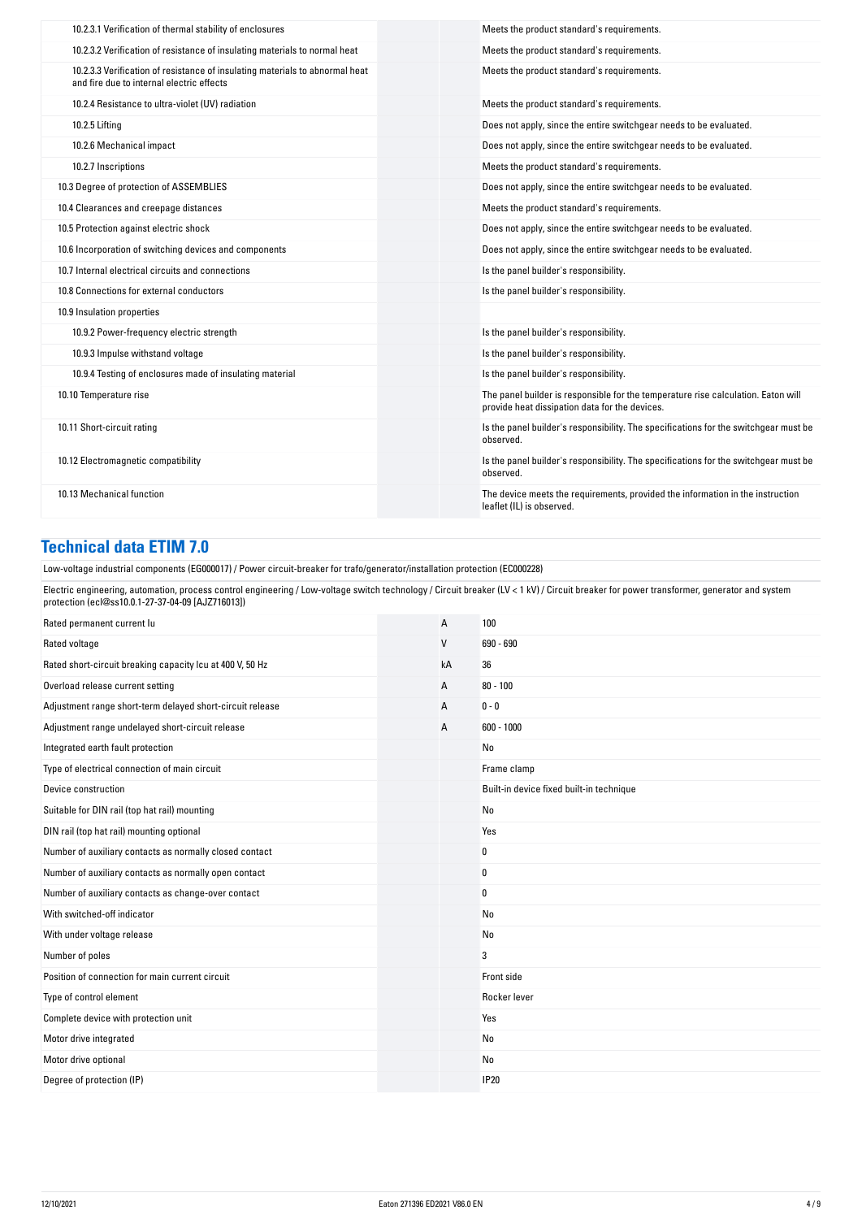| 10.2.3.1 Verification of thermal stability of enclosures                                                                  | Meets the product standard's requirements.                                                                                          |
|---------------------------------------------------------------------------------------------------------------------------|-------------------------------------------------------------------------------------------------------------------------------------|
| 10.2.3.2 Verification of resistance of insulating materials to normal heat                                                | Meets the product standard's requirements.                                                                                          |
| 10.2.3.3 Verification of resistance of insulating materials to abnormal heat<br>and fire due to internal electric effects | Meets the product standard's requirements.                                                                                          |
| 10.2.4 Resistance to ultra-violet (UV) radiation                                                                          | Meets the product standard's requirements.                                                                                          |
| 10.2.5 Lifting                                                                                                            | Does not apply, since the entire switchgear needs to be evaluated.                                                                  |
| 10.2.6 Mechanical impact                                                                                                  | Does not apply, since the entire switchgear needs to be evaluated.                                                                  |
| 10.2.7 Inscriptions                                                                                                       | Meets the product standard's requirements.                                                                                          |
| 10.3 Degree of protection of ASSEMBLIES                                                                                   | Does not apply, since the entire switchgear needs to be evaluated.                                                                  |
| 10.4 Clearances and creepage distances                                                                                    | Meets the product standard's requirements.                                                                                          |
| 10.5 Protection against electric shock                                                                                    | Does not apply, since the entire switchgear needs to be evaluated.                                                                  |
| 10.6 Incorporation of switching devices and components                                                                    | Does not apply, since the entire switchgear needs to be evaluated.                                                                  |
| 10.7 Internal electrical circuits and connections                                                                         | Is the panel builder's responsibility.                                                                                              |
| 10.8 Connections for external conductors                                                                                  | Is the panel builder's responsibility.                                                                                              |
| 10.9 Insulation properties                                                                                                |                                                                                                                                     |
| 10.9.2 Power-frequency electric strength                                                                                  | Is the panel builder's responsibility.                                                                                              |
| 10.9.3 Impulse withstand voltage                                                                                          | Is the panel builder's responsibility.                                                                                              |
| 10.9.4 Testing of enclosures made of insulating material                                                                  | Is the panel builder's responsibility.                                                                                              |
| 10.10 Temperature rise                                                                                                    | The panel builder is responsible for the temperature rise calculation. Eaton will<br>provide heat dissipation data for the devices. |
| 10.11 Short-circuit rating                                                                                                | Is the panel builder's responsibility. The specifications for the switchgear must be<br>observed.                                   |
| 10.12 Electromagnetic compatibility                                                                                       | Is the panel builder's responsibility. The specifications for the switchgear must be<br>observed.                                   |
| 10.13 Mechanical function                                                                                                 | The device meets the requirements, provided the information in the instruction<br>leaflet (IL) is observed.                         |

### **Technical data ETIM 7.0**

Low-voltage industrial components (EG000017) / Power circuit-breaker for trafo/generator/installation protection (EC000228)

Electric engineering, automation, process control engineering / Low-voltage switch technology / Circuit breaker (LV < 1 kV) / Circuit breaker for power transformer, generator and system protection (ecl@ss10.0.1-27-37-04-09 [AJZ716013])

| Rated permanent current lu                                | A  | 100                                      |
|-----------------------------------------------------------|----|------------------------------------------|
| Rated voltage                                             | V  | 690 - 690                                |
| Rated short-circuit breaking capacity Icu at 400 V, 50 Hz | kA | 36                                       |
| Overload release current setting                          | А  | $80 - 100$                               |
| Adjustment range short-term delayed short-circuit release | А  | $0 - 0$                                  |
| Adjustment range undelayed short-circuit release          | А  | $600 - 1000$                             |
| Integrated earth fault protection                         |    | No                                       |
| Type of electrical connection of main circuit             |    | Frame clamp                              |
| Device construction                                       |    | Built-in device fixed built-in technique |
| Suitable for DIN rail (top hat rail) mounting             |    | No                                       |
| DIN rail (top hat rail) mounting optional                 |    | Yes                                      |
| Number of auxiliary contacts as normally closed contact   |    | 0                                        |
| Number of auxiliary contacts as normally open contact     |    | 0                                        |
| Number of auxiliary contacts as change-over contact       |    | 0                                        |
| With switched-off indicator                               |    | No                                       |
| With under voltage release                                |    | No                                       |
| Number of poles                                           |    | 3                                        |
| Position of connection for main current circuit           |    | Front side                               |
| Type of control element                                   |    | Rocker lever                             |
| Complete device with protection unit                      |    | Yes                                      |
| Motor drive integrated                                    |    | No                                       |
| Motor drive optional                                      |    | No                                       |
| Degree of protection (IP)                                 |    | <b>IP20</b>                              |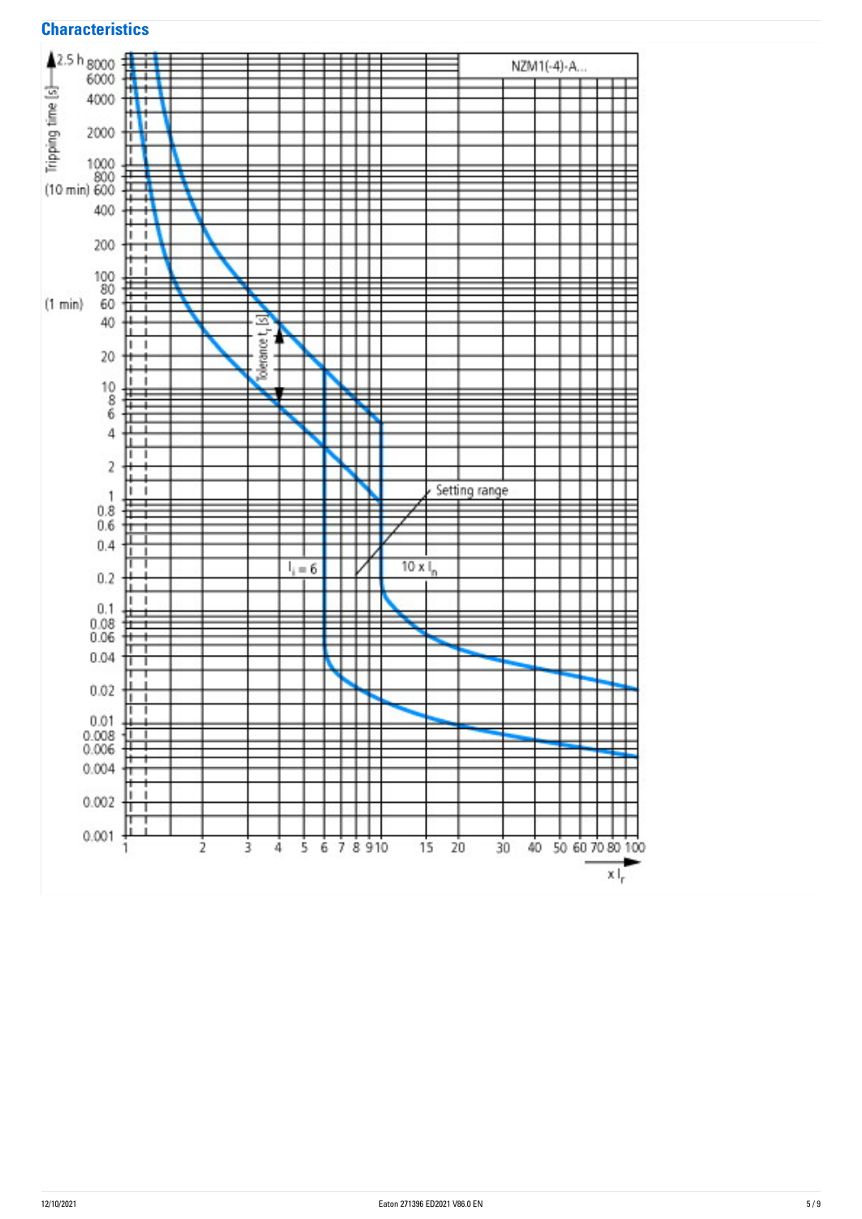

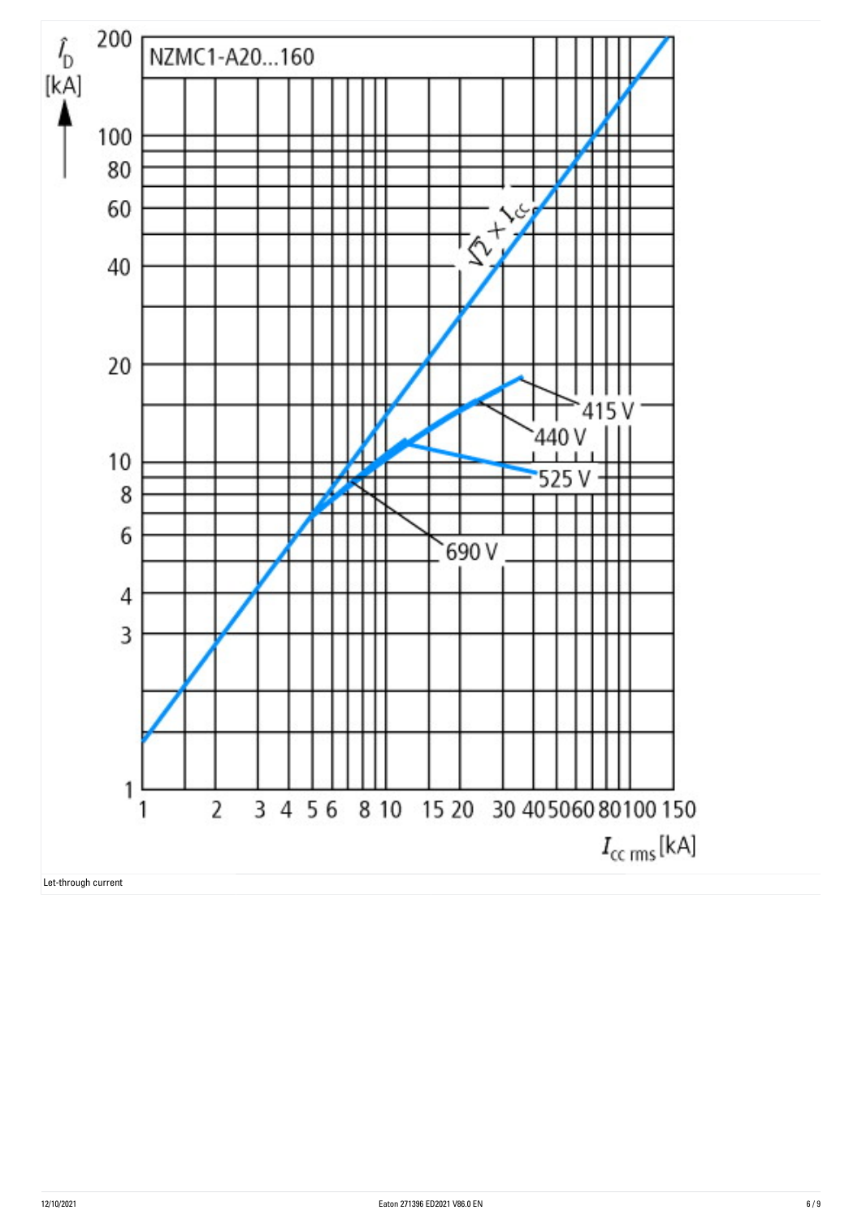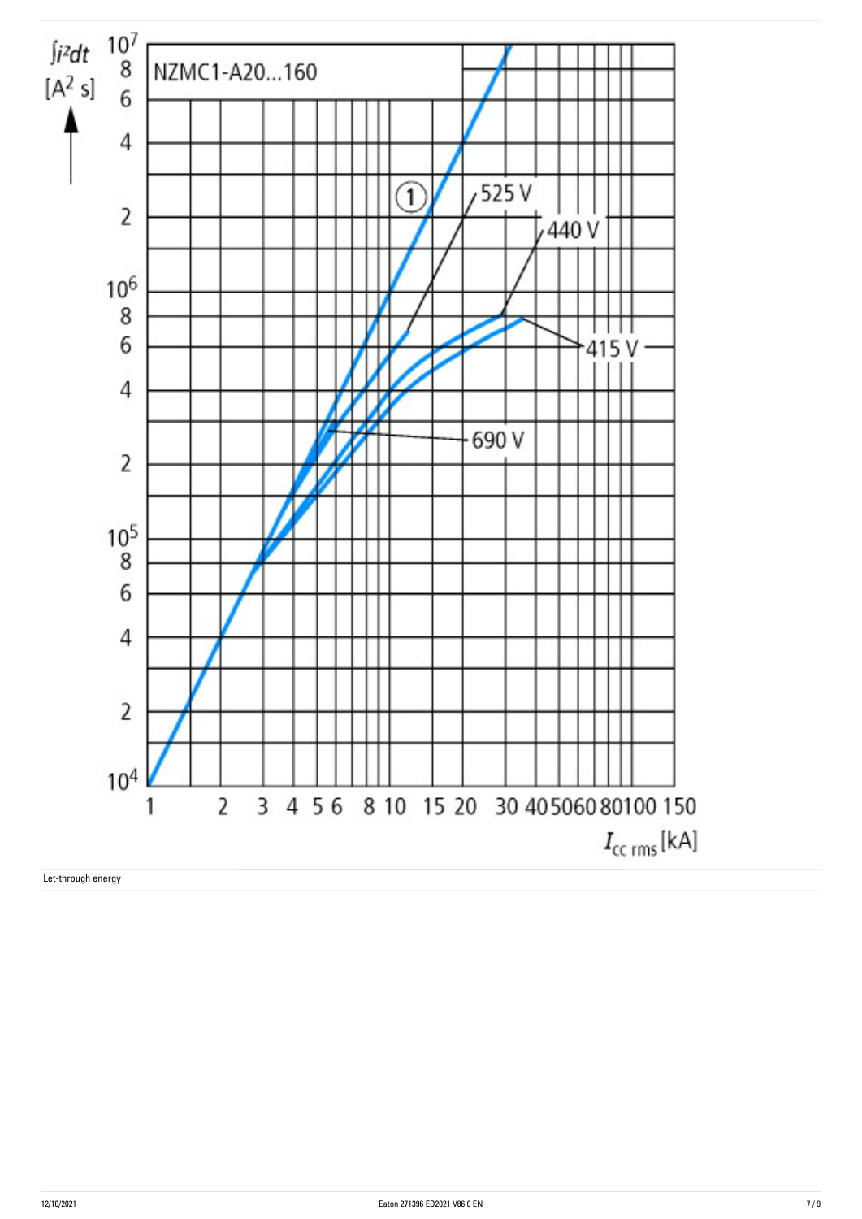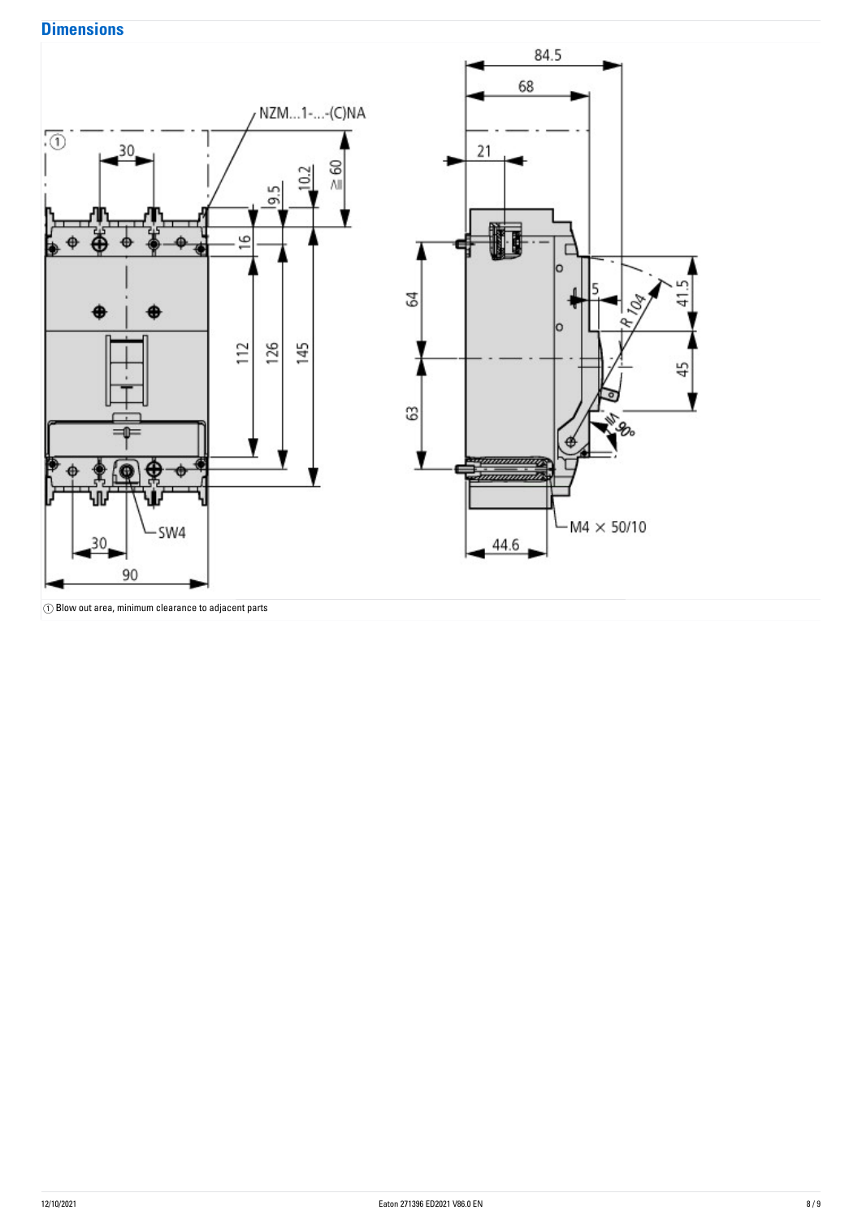## **Dimensions**